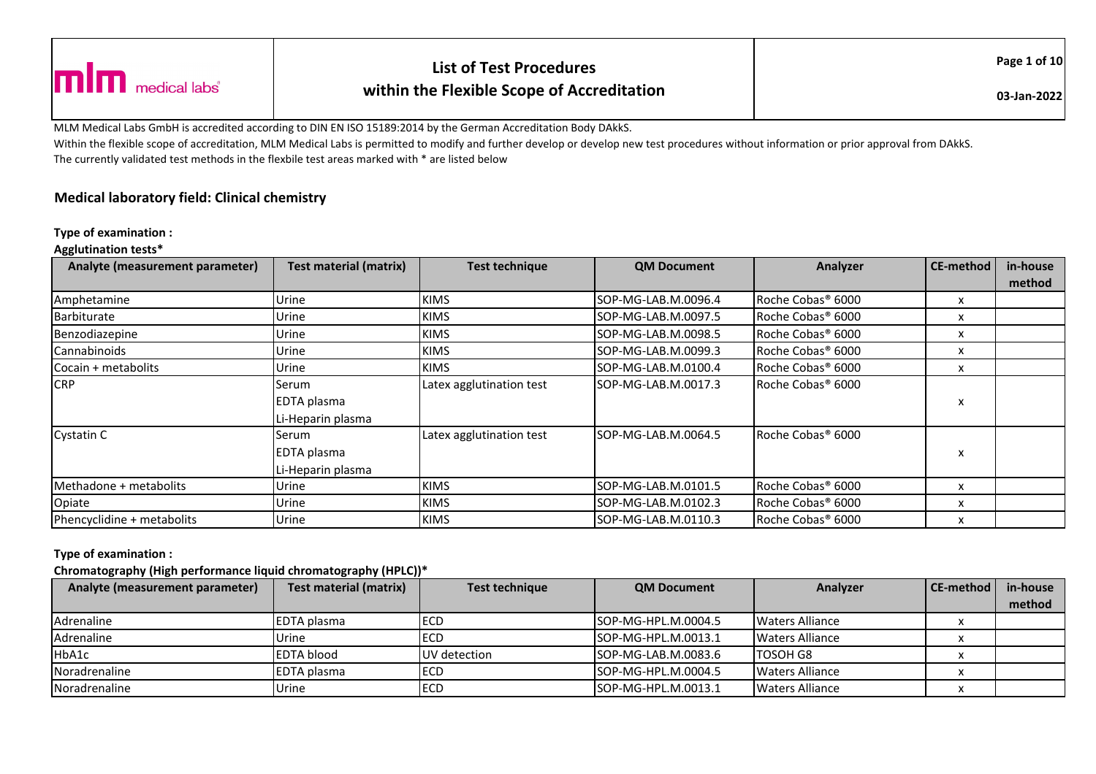|                                            |                                            | <b>List of Test Procedures</b> | Page 1 of 10 |  |
|--------------------------------------------|--------------------------------------------|--------------------------------|--------------|--|
| $\blacksquare$ $\blacksquare$ medical labs | within the Flexible Scope of Accreditation | 03-Jan-2022                    |              |  |

MLM Medical Labs GmbH is accredited according to DIN EN ISO 15189:2014 by the German Accreditation Body DAkkS.

Within the flexible scope of accreditation, MLM Medical Labs is permitted to modify and further develop or develop new test procedures without information or prior approval from DAkkS. The currently validated test methods in the flexbile test areas marked with \* are listed below

# **Medical laboratory field: Clinical chemistry**

#### **Type of examination :**

#### **Agglutination tests\***

| Analyte (measurement parameter) | <b>Test material (matrix)</b> | <b>Test technique</b>    | <b>QM Document</b>   | Analyzer                      | CE-method | in-house |
|---------------------------------|-------------------------------|--------------------------|----------------------|-------------------------------|-----------|----------|
|                                 |                               |                          |                      |                               |           | method   |
| Amphetamine                     | Urine                         | <b>KIMS</b>              | ISOP-MG-LAB.M.0096.4 | Roche Cobas <sup>®</sup> 6000 | x         |          |
| <b>Barbiturate</b>              | Urine                         | <b>KIMS</b>              | SOP-MG-LAB.M.0097.5  | Roche Cobas <sup>®</sup> 6000 | x         |          |
| Benzodiazepine                  | Urine                         | <b>KIMS</b>              | SOP-MG-LAB.M.0098.5  | Roche Cobas <sup>®</sup> 6000 | x         |          |
| Cannabinoids                    | Urine                         | <b>KIMS</b>              | ISOP-MG-LAB.M.0099.3 | Roche Cobas <sup>®</sup> 6000 | x         |          |
| Cocain + metabolits             | Urine                         | <b>KIMS</b>              | SOP-MG-LAB.M.0100.4  | Roche Cobas <sup>®</sup> 6000 | x         |          |
| <b>CRP</b>                      | Serum                         | Latex agglutination test | SOP-MG-LAB.M.0017.3  | Roche Cobas® 6000             |           |          |
|                                 | EDTA plasma                   |                          |                      |                               | x         |          |
|                                 | Li-Heparin plasma             |                          |                      |                               |           |          |
| Cystatin C                      | Serum                         | Latex agglutination test | SOP-MG-LAB.M.0064.5  | Roche Cobas <sup>®</sup> 6000 |           |          |
|                                 | EDTA plasma                   |                          |                      |                               | x         |          |
|                                 | Li-Heparin plasma             |                          |                      |                               |           |          |
| Methadone + metabolits          | Urine                         | <b>KIMS</b>              | SOP-MG-LAB.M.0101.5  | Roche Cobas <sup>®</sup> 6000 | x         |          |
| Opiate                          | Urine                         | <b>KIMS</b>              | SOP-MG-LAB.M.0102.3  | Roche Cobas <sup>®</sup> 6000 | x         |          |
| Phencyclidine + metabolits      | Urine                         | <b>KIMS</b>              | ISOP-MG-LAB.M.0110.3 | Roche Cobas <sup>®</sup> 6000 | x         |          |

#### **Type of examination :**

### **Chromatography (High performance liquid chromatography (HPLC))\***

| Analyte (measurement parameter) | Test material (matrix) | Test technique | <b>QM Document</b>         | Analyzer         | CE-method | in-house |
|---------------------------------|------------------------|----------------|----------------------------|------------------|-----------|----------|
|                                 |                        |                |                            |                  |           | method   |
| Adrenaline                      | <b>IEDTA</b> plasma    | ECD            | ISOP-MG-HPL.M.0004.5       | Waters Alliance  |           |          |
| Adrenaline                      | Urine                  | ECD            | ISOP-MG-HPL.M.0013.1       | Waters Alliance  |           |          |
| HbA1c                           | <b>EDTA blood</b>      | UV detection   | SOP-MG-LAB.M.0083.6        | <b>ITOSOH G8</b> |           |          |
| Noradrenaline                   | <b>EDTA</b> plasma     | <b>ECD</b>     | <b>SOP-MG-HPL.M.0004.5</b> | Waters Alliance  |           |          |
| Noradrenaline                   | Urine                  | <b>ECD</b>     | ISOP-MG-HPL.M.0013.1       | Waters Alliance  |           |          |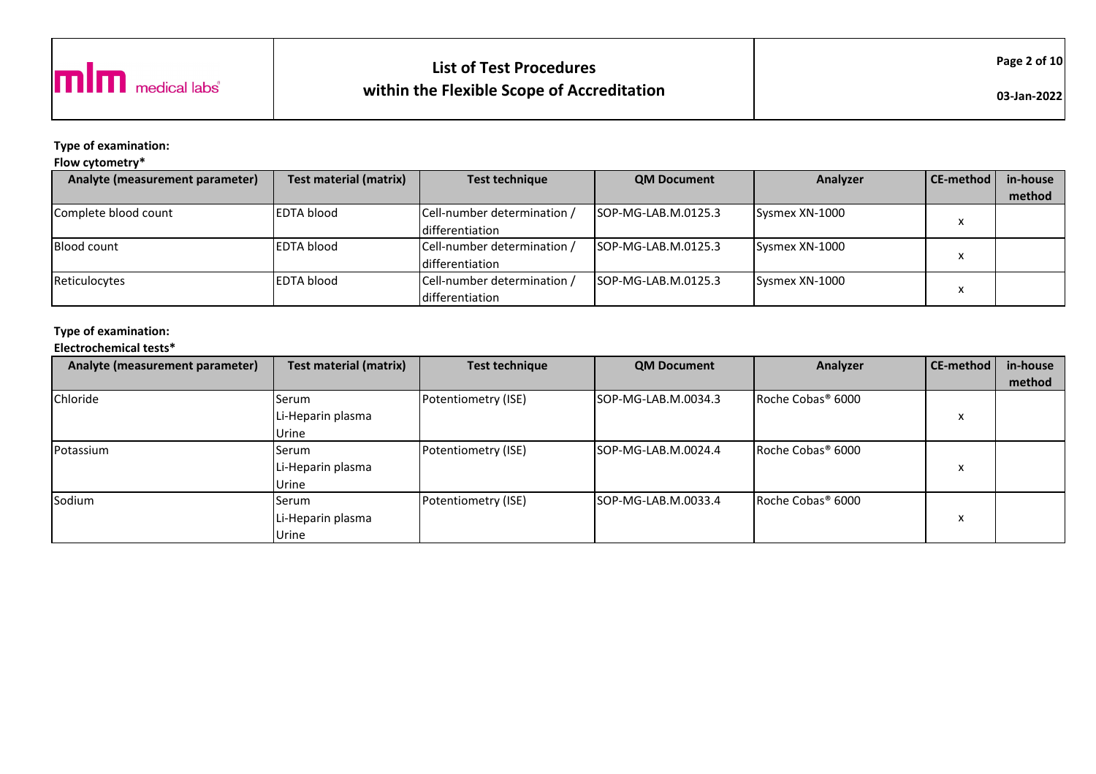

# **List of Test Procedureswithin the Flexible Scope of Accreditation**

**Type of examination:** 

## **Flow cytometry\***

| Analyte (measurement parameter) | <b>Test material (matrix)</b> | <b>Test technique</b>       | <b>QM Document</b>         | Analyzer       | CE-method | in-house |
|---------------------------------|-------------------------------|-----------------------------|----------------------------|----------------|-----------|----------|
|                                 |                               |                             |                            |                |           | method   |
| Complete blood count            | <b>EDTA blood</b>             | Cell-number determination / | ISOP-MG-LAB.M.0125.3       | Sysmex XN-1000 |           |          |
|                                 |                               | <b>Idifferentiation</b>     |                            |                |           |          |
| <b>Blood count</b>              | <b>EDTA blood</b>             | Cell-number determination / | ISOP-MG-LAB.M.0125.3       | Sysmex XN-1000 |           |          |
|                                 |                               | <b>differentiation</b>      |                            |                |           |          |
| Reticulocytes                   | <b>EDTA blood</b>             | Cell-number determination / | <b>SOP-MG-LAB.M.0125.3</b> | Sysmex XN-1000 |           |          |
|                                 |                               | differentiation             |                            |                |           |          |

# **Type of examination:**

**Electrochemical tests\***

| Analyte (measurement parameter) | <b>Test material (matrix)</b> | <b>Test technique</b> | <b>QM Document</b>   | Analyzer                      | CE-method    | in-house |
|---------------------------------|-------------------------------|-----------------------|----------------------|-------------------------------|--------------|----------|
|                                 |                               |                       |                      |                               |              | method   |
| Chloride                        | Serum                         | Potentiometry (ISE)   | ISOP-MG-LAB.M.0034.3 | Roche Cobas <sup>®</sup> 6000 |              |          |
|                                 | Li-Heparin plasma             |                       |                      |                               |              |          |
|                                 | Urine                         |                       |                      |                               |              |          |
| Potassium                       | Serum                         | Potentiometry (ISE)   | ISOP-MG-LAB.M.0024.4 | Roche Cobas <sup>®</sup> 6000 |              |          |
|                                 | Li-Heparin plasma             |                       |                      |                               | $\lambda$    |          |
|                                 | Urine                         |                       |                      |                               |              |          |
| Sodium                          | Serum                         | Potentiometry (ISE)   | ISOP-MG-LAB.M.0033.4 | Roche Cobas <sup>®</sup> 6000 |              |          |
|                                 | Li-Heparin plasma             |                       |                      |                               | $\cdot$<br>ᄉ |          |
|                                 | Urine                         |                       |                      |                               |              |          |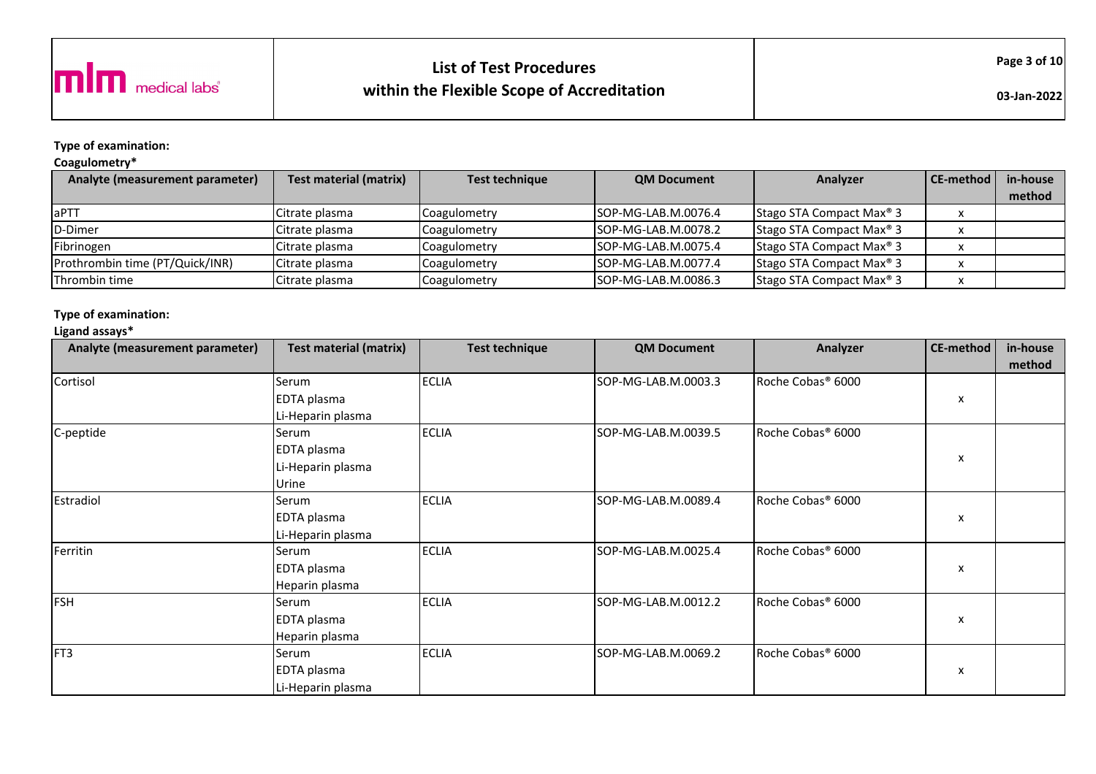

# **List of Test Procedureswithin the Flexible Scope of Accreditation**

**Type of examination:** 

## **Coagulometry\***

| Analyte (measurement parameter) | <b>Test material (matrix)</b> | <b>Test technique</b> | <b>QM Document</b>   | Analyzer                             | <b>CE-method</b> | in-house |
|---------------------------------|-------------------------------|-----------------------|----------------------|--------------------------------------|------------------|----------|
|                                 |                               |                       |                      |                                      |                  | method   |
| <b>laPTT</b>                    | Citrate plasma                | Coagulometry          | SOP-MG-LAB.M.0076.4  | Stago STA Compact Max <sup>®</sup> 3 |                  |          |
| D-Dimer                         | Citrate plasma                | Coagulometry          | ISOP-MG-LAB.M.0078.2 | Stago STA Compact Max <sup>®</sup> 3 |                  |          |
| Fibrinogen                      | Citrate plasma                | Coagulometry          | ISOP-MG-LAB.M.0075.4 | Stago STA Compact Max <sup>®</sup> 3 |                  |          |
| Prothrombin time (PT/Quick/INR) | Citrate plasma                | Coagulometry          | ISOP-MG-LAB.M.0077.4 | Stago STA Compact Max <sup>®</sup> 3 |                  |          |
| Thrombin time                   | Citrate plasma                | Coagulometry          | ISOP-MG-LAB.M.0086.3 | Stago STA Compact Max <sup>®</sup> 3 |                  |          |

#### **Type of examination:**

### **Ligand assays\***

| Analyte (measurement parameter) | <b>Test material (matrix)</b> | <b>Test technique</b> | <b>QM Document</b>  | Analyzer                      | CE-method | in-house |
|---------------------------------|-------------------------------|-----------------------|---------------------|-------------------------------|-----------|----------|
|                                 |                               |                       |                     |                               |           | method   |
| Cortisol                        | Serum                         | <b>ECLIA</b>          | SOP-MG-LAB.M.0003.3 | Roche Cobas <sup>®</sup> 6000 |           |          |
|                                 | EDTA plasma                   |                       |                     |                               | x         |          |
|                                 | Li-Heparin plasma             |                       |                     |                               |           |          |
| C-peptide                       | Serum                         | <b>ECLIA</b>          | SOP-MG-LAB.M.0039.5 | Roche Cobas <sup>®</sup> 6000 |           |          |
|                                 | EDTA plasma                   |                       |                     |                               |           |          |
|                                 | Li-Heparin plasma             |                       |                     |                               | x         |          |
|                                 | Urine                         |                       |                     |                               |           |          |
| Estradiol                       | Serum                         | <b>ECLIA</b>          | SOP-MG-LAB.M.0089.4 | Roche Cobas <sup>®</sup> 6000 |           |          |
|                                 | EDTA plasma                   |                       |                     |                               | x         |          |
|                                 | Li-Heparin plasma             |                       |                     |                               |           |          |
| Ferritin                        | Serum                         | <b>ECLIA</b>          | SOP-MG-LAB.M.0025.4 | Roche Cobas <sup>®</sup> 6000 |           |          |
|                                 | EDTA plasma                   |                       |                     |                               | x         |          |
|                                 | Heparin plasma                |                       |                     |                               |           |          |
| <b>FSH</b>                      | Serum                         | <b>ECLIA</b>          | SOP-MG-LAB.M.0012.2 | Roche Cobas <sup>®</sup> 6000 |           |          |
|                                 | EDTA plasma                   |                       |                     |                               | x         |          |
|                                 | Heparin plasma                |                       |                     |                               |           |          |
| FT3                             | Serum                         | <b>ECLIA</b>          | SOP-MG-LAB.M.0069.2 | Roche Cobas <sup>®</sup> 6000 |           |          |
|                                 | EDTA plasma                   |                       |                     |                               | x         |          |
|                                 | Li-Heparin plasma             |                       |                     |                               |           |          |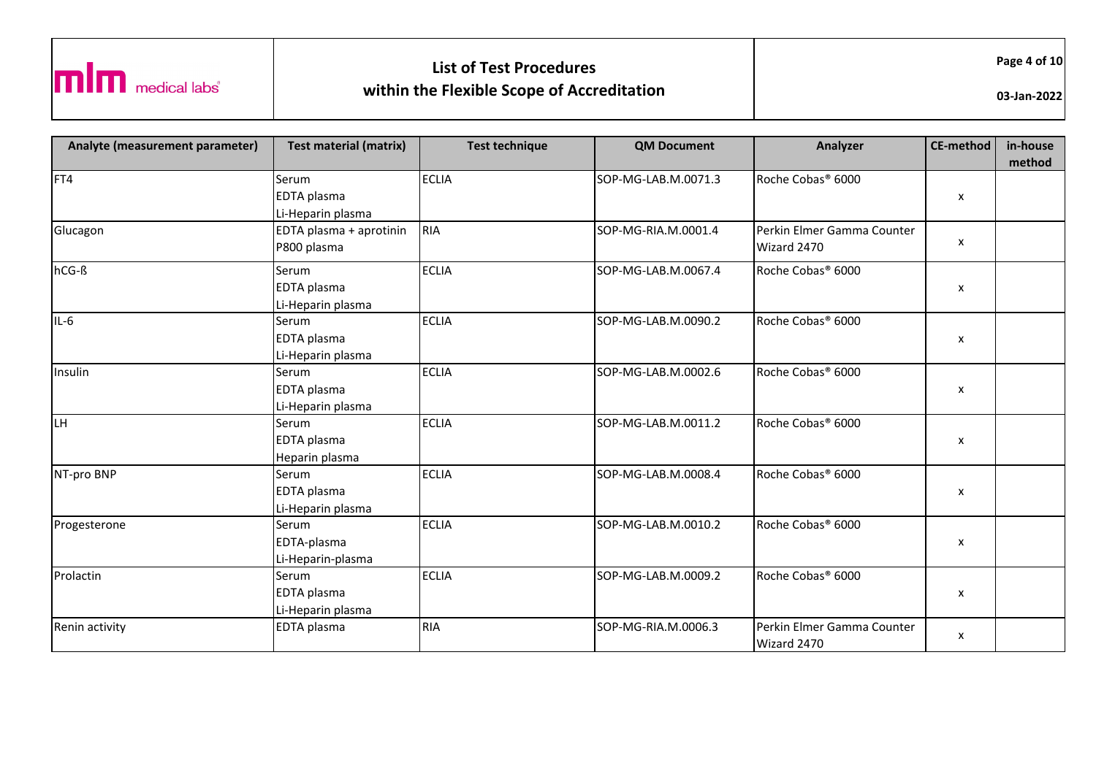

Wizard 2470

x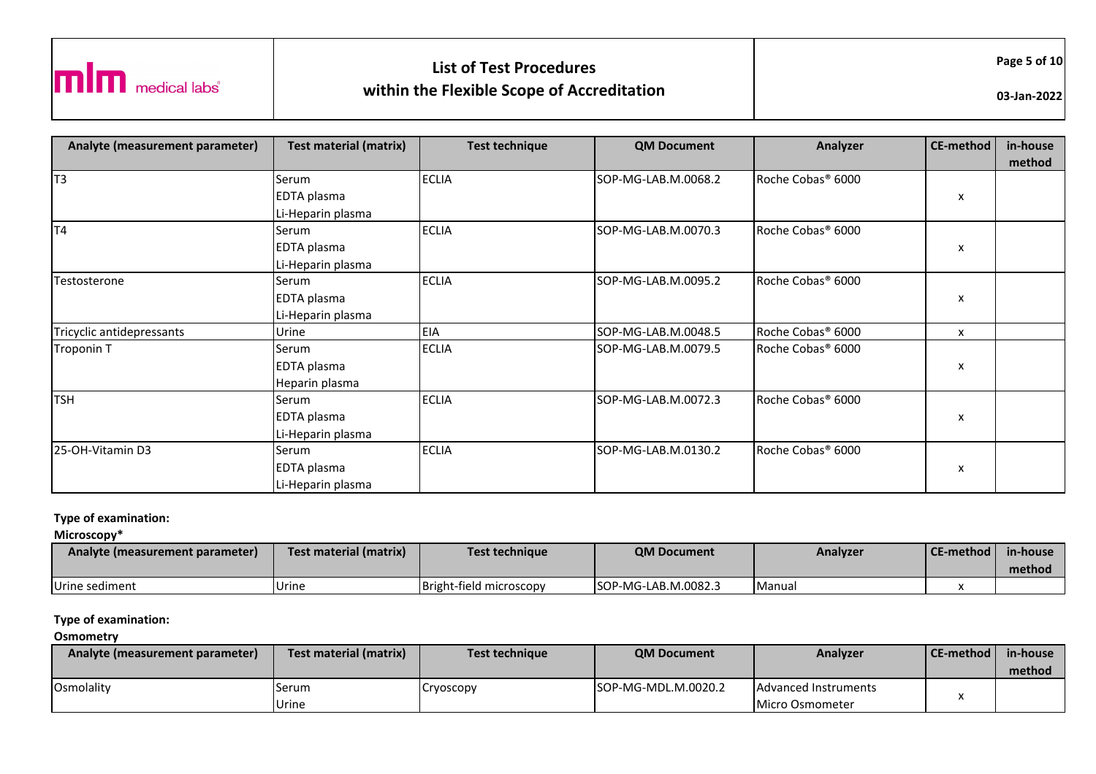

ECLIA SOP-MG-LAB.M.0070.3 Roche Cobas® 6000

x

|                           | Li-Heparin plasma |              |                     |                               |              |
|---------------------------|-------------------|--------------|---------------------|-------------------------------|--------------|
| Testosterone              | Serum             | <b>ECLIA</b> | SOP-MG-LAB.M.0095.2 | Roche Cobas <sup>®</sup> 6000 |              |
|                           | EDTA plasma       |              |                     |                               | $\mathsf{x}$ |
|                           | Li-Heparin plasma |              |                     |                               |              |
| Tricyclic antidepressants | Urine             | EIA          | SOP-MG-LAB.M.0048.5 | Roche Cobas <sup>®</sup> 6000 | X            |
| Troponin T                | Serum             | <b>ECLIA</b> | SOP-MG-LAB.M.0079.5 | Roche Cobas <sup>®</sup> 6000 |              |
|                           | EDTA plasma       |              |                     |                               | $\mathsf{x}$ |
|                           | Heparin plasma    |              |                     |                               |              |
| TSH                       | Serum             | <b>ECLIA</b> | SOP-MG-LAB.M.0072.3 | Roche Cobas <sup>®</sup> 6000 |              |
|                           | EDTA plasma       |              |                     |                               | $\mathsf{x}$ |
|                           | Li-Heparin plasma |              |                     |                               |              |
| 25-OH-Vitamin D3          | Serum             | <b>ECLIA</b> | SOP-MG-LAB.M.0130.2 | Roche Cobas <sup>®</sup> 6000 |              |
|                           | EDTA plasma       |              |                     |                               | $\mathsf{x}$ |
|                           | Li-Heparin plasma |              |                     |                               |              |

#### **Type of examination:**

T4 Serum

EDTA plasma

**Microscopy\***

| Analyte (measurement parameter) | <b>Test material (matrix)</b> | Test technique          | <b>QM Document</b>   | Analyzer | l CE-method | in-house |
|---------------------------------|-------------------------------|-------------------------|----------------------|----------|-------------|----------|
|                                 |                               |                         |                      |          |             | method   |
| Urine sediment                  | <b>Urine</b>                  | Bright-field microscopy | ISOP-MG-LAB.M.0082.3 | Manual   |             |          |

#### **Type of examination:**

#### **Osmometry**

| Analyte (measurement parameter) | Test material (matrix) | <b>Test technique</b> | <b>QM Document</b>   | Analyzer                     | l CE-method l | in-house |
|---------------------------------|------------------------|-----------------------|----------------------|------------------------------|---------------|----------|
|                                 |                        |                       |                      |                              |               | method   |
| <b>Osmolality</b>               | Serum                  | Cryoscopy             | ISOP-MG-MDL.M.0020.2 | <b>IAdvanced Instruments</b> |               |          |
|                                 | Urine                  |                       |                      | Micro Osmometer              |               |          |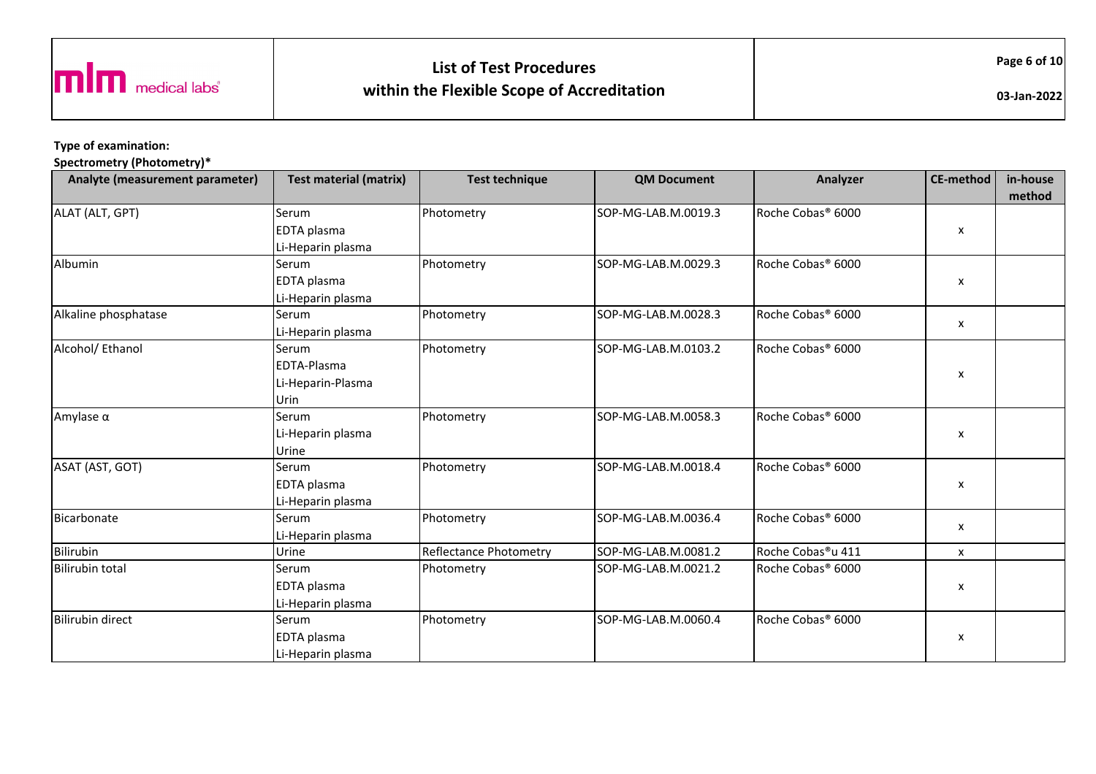

# **List of Test Procedureswithin the Flexible Scope of Accreditation**

**03-Jan-2022**

**Type of examination:** 

**Spectrometry (Photometry)\***

| Analyte (measurement parameter) | <b>Test material (matrix)</b> | <b>Test technique</b>  | <b>QM Document</b>  | Analyzer                      | CE-method          | in-house<br>method |
|---------------------------------|-------------------------------|------------------------|---------------------|-------------------------------|--------------------|--------------------|
| ALAT (ALT, GPT)                 | Serum                         | Photometry             | SOP-MG-LAB.M.0019.3 | Roche Cobas <sup>®</sup> 6000 |                    |                    |
|                                 | EDTA plasma                   |                        |                     |                               | X                  |                    |
|                                 | Li-Heparin plasma             |                        |                     |                               |                    |                    |
| Albumin                         | Serum                         | Photometry             | SOP-MG-LAB.M.0029.3 | Roche Cobas <sup>®</sup> 6000 |                    |                    |
|                                 | EDTA plasma                   |                        |                     |                               | X                  |                    |
|                                 | Li-Heparin plasma             |                        |                     |                               |                    |                    |
| Alkaline phosphatase            | Serum                         | Photometry             | SOP-MG-LAB.M.0028.3 | Roche Cobas <sup>®</sup> 6000 |                    |                    |
|                                 | Li-Heparin plasma             |                        |                     |                               | x                  |                    |
| Alcohol/ Ethanol                | Serum                         | Photometry             | SOP-MG-LAB.M.0103.2 | Roche Cobas <sup>®</sup> 6000 |                    |                    |
|                                 | EDTA-Plasma                   |                        |                     |                               |                    |                    |
|                                 | Li-Heparin-Plasma             |                        |                     |                               | X                  |                    |
|                                 | Urin                          |                        |                     |                               |                    |                    |
| Amylase $\alpha$                | Serum                         | Photometry             | SOP-MG-LAB.M.0058.3 | Roche Cobas <sup>®</sup> 6000 |                    |                    |
|                                 | Li-Heparin plasma             |                        |                     |                               | X                  |                    |
|                                 | Urine                         |                        |                     |                               |                    |                    |
| ASAT (AST, GOT)                 | Serum                         | Photometry             | SOP-MG-LAB.M.0018.4 | Roche Cobas <sup>®</sup> 6000 |                    |                    |
|                                 | EDTA plasma                   |                        |                     |                               | $\pmb{\mathsf{x}}$ |                    |
|                                 | Li-Heparin plasma             |                        |                     |                               |                    |                    |
| Bicarbonate                     | Serum                         | Photometry             | SOP-MG-LAB.M.0036.4 | Roche Cobas <sup>®</sup> 6000 |                    |                    |
|                                 | Li-Heparin plasma             |                        |                     |                               | X                  |                    |
| Bilirubin                       | Urine                         | Reflectance Photometry | SOP-MG-LAB.M.0081.2 | Roche Cobas®u 411             | x                  |                    |
| <b>Bilirubin total</b>          | Serum                         | Photometry             | SOP-MG-LAB.M.0021.2 | Roche Cobas <sup>®</sup> 6000 |                    |                    |
|                                 | EDTA plasma                   |                        |                     |                               | X                  |                    |
|                                 | Li-Heparin plasma             |                        |                     |                               |                    |                    |
| <b>Bilirubin direct</b>         | Serum                         | Photometry             | SOP-MG-LAB.M.0060.4 | Roche Cobas <sup>®</sup> 6000 |                    |                    |
|                                 | EDTA plasma                   |                        |                     |                               | X                  |                    |
|                                 | Li-Heparin plasma             |                        |                     |                               |                    |                    |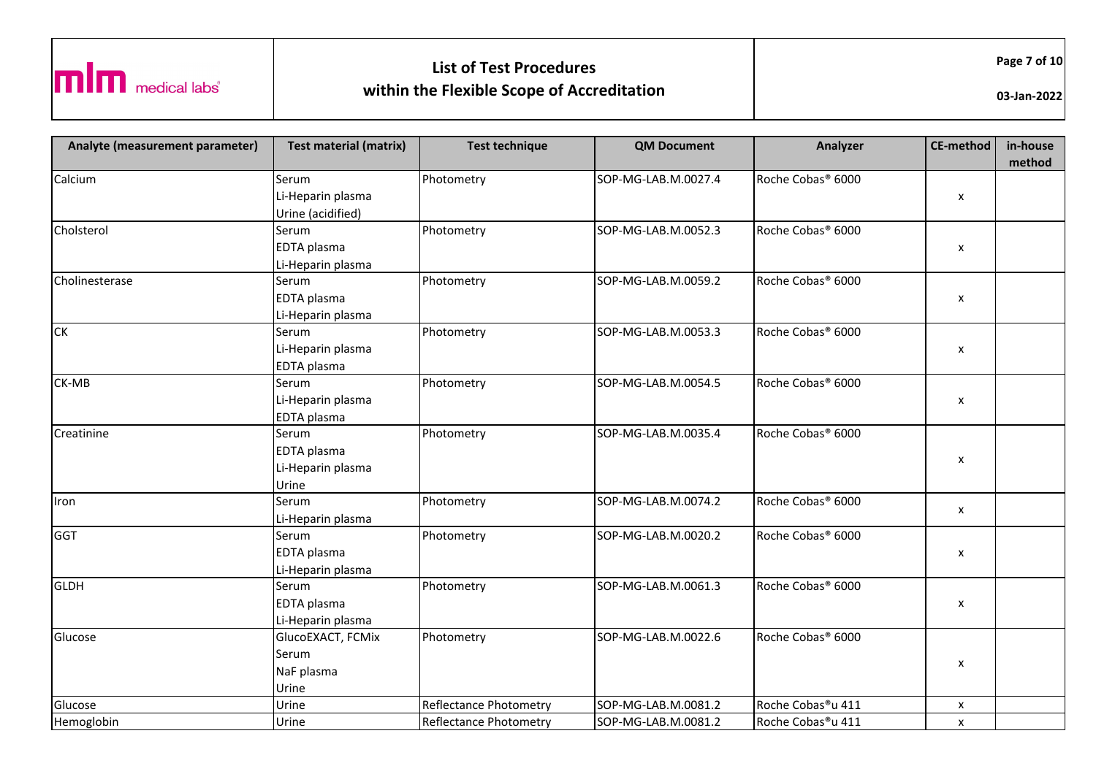

Reflectance Photometry

Roche Cobas®u 411 x

Hemoglobin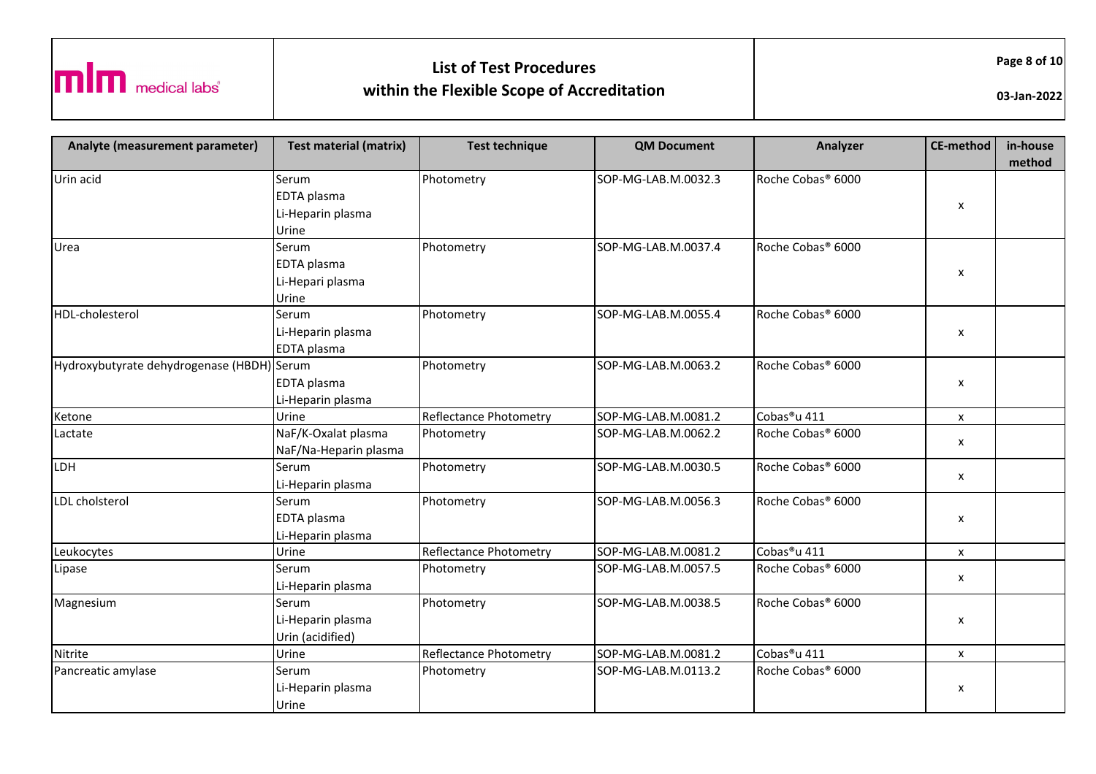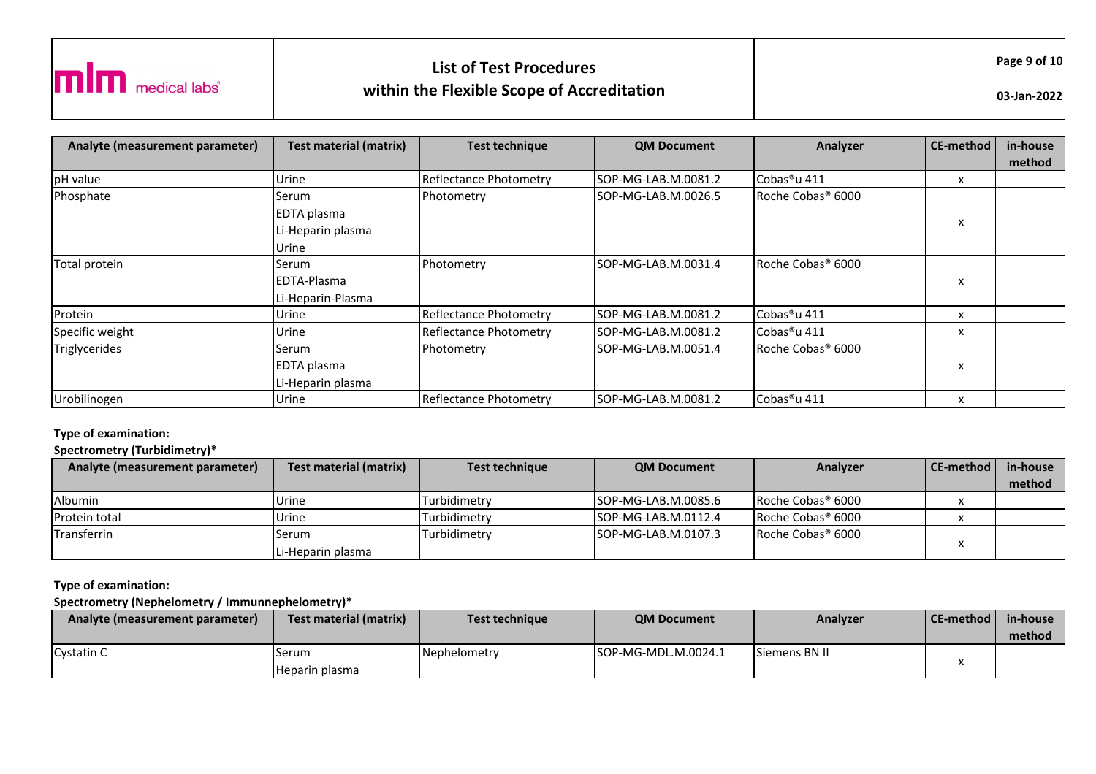

| Analyte (measurement parameter) | <b>Test material (matrix)</b> | <b>Test technique</b>         | <b>QM Document</b>   | Analyzer                      | CE-method | in-house |
|---------------------------------|-------------------------------|-------------------------------|----------------------|-------------------------------|-----------|----------|
|                                 |                               |                               |                      |                               |           | method   |
| pH value                        | Urine                         | <b>Reflectance Photometry</b> | SOP-MG-LAB.M.0081.2  | Cobas <sup>®</sup> u 411      | x         |          |
| Phosphate                       | Serum                         | Photometry                    | SOP-MG-LAB.M.0026.5  | Roche Cobas <sup>®</sup> 6000 |           |          |
|                                 | <b>EDTA</b> plasma            |                               |                      |                               |           |          |
|                                 | Li-Heparin plasma             |                               |                      |                               | x         |          |
|                                 | Urine                         |                               |                      |                               |           |          |
| Total protein                   | Serum                         | Photometry                    | ISOP-MG-LAB.M.0031.4 | Roche Cobas <sup>®</sup> 6000 |           |          |
|                                 | <b>IEDTA-Plasma</b>           |                               |                      |                               | x         |          |
|                                 | Li-Heparin-Plasma             |                               |                      |                               |           |          |
| Protein                         | Urine                         | <b>Reflectance Photometry</b> | ISOP-MG-LAB.M.0081.2 | Cobas <sup>®</sup> u 411      | x         |          |
| Specific weight                 | Urine                         | Reflectance Photometry        | SOP-MG-LAB.M.0081.2  | Cobas <sup>®</sup> u 411      | x         |          |
| Triglycerides                   | Serum                         | Photometry                    | ISOP-MG-LAB.M.0051.4 | Roche Cobas® 6000             |           |          |
|                                 | <b>EDTA</b> plasma            |                               |                      |                               | x         |          |
|                                 | Li-Heparin plasma             |                               |                      |                               |           |          |
| Urobilinogen                    | Urine                         | Reflectance Photometry        | SOP-MG-LAB.M.0081.2  | Cobas <sup>®</sup> u 411      | x         |          |

#### **Type of examination:**

## **Spectrometry (Turbidimetry)\***

| Analyte (measurement parameter) | Test material (matrix) | Test technique | <b>QM Document</b>   | Analyzer                      | l CE-method l | in-house |
|---------------------------------|------------------------|----------------|----------------------|-------------------------------|---------------|----------|
|                                 |                        |                |                      |                               |               | method   |
| <b>Albumin</b>                  | Urine                  | Turbidimetry   | ISOP-MG-LAB.M.0085.6 | Roche Cobas® 6000             |               |          |
| Protein total                   | Urine                  | Turbidimetry   | ISOP-MG-LAB.M.0112.4 | Roche Cobas® 6000             |               |          |
| Transferrin                     | Serum                  | Turbidimetry   | ISOP-MG-LAB.M.0107.3 | Roche Cobas <sup>®</sup> 6000 |               |          |
|                                 | Li-Heparin plasma      |                |                      |                               |               |          |

#### **Type of examination:**

**Spectrometry (Nephelometry / Immunnephelometry)\***

| <b>Analyte (measurement parameter)</b> | Test material (matrix) | <b>Test technique</b> | <b>QM Document</b>   | Analyzer      | <b>CE-method</b> | in-house |
|----------------------------------------|------------------------|-----------------------|----------------------|---------------|------------------|----------|
|                                        |                        |                       |                      |               |                  | method   |
| <b>Cystatin C</b>                      | Serum                  | Nephelometry          | ISOP-MG-MDL.M.0024.1 | Siemens BN II |                  |          |
|                                        | Heparin plasma         |                       |                      |               |                  |          |